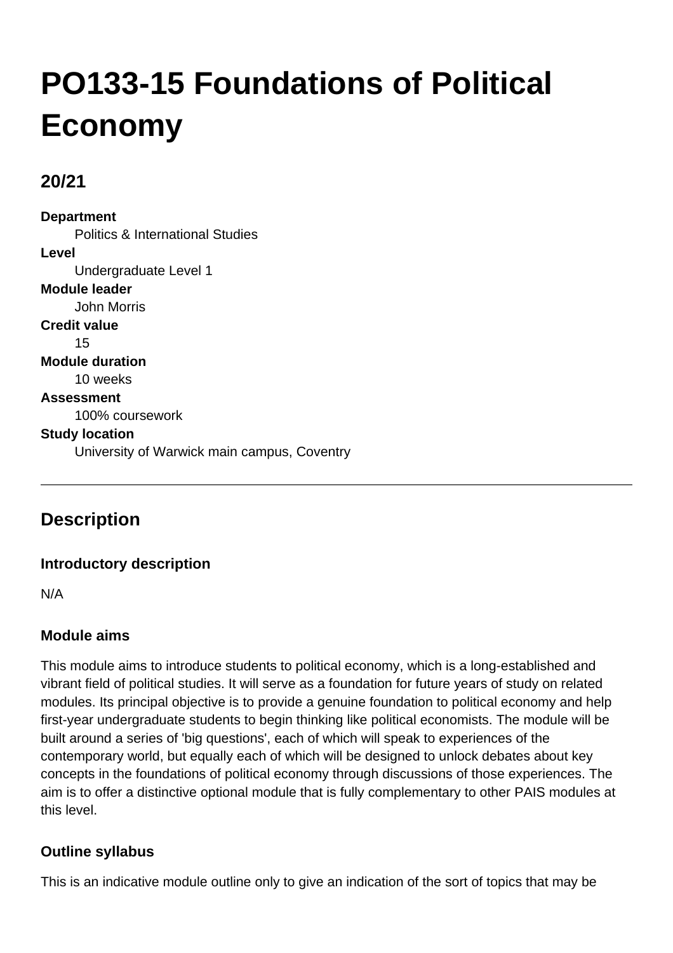# **PO133-15 Foundations of Political Economy**

# **20/21**

**Department** Politics & International Studies **Level** Undergraduate Level 1 **Module leader** John Morris **Credit value** 15 **Module duration** 10 weeks **Assessment** 100% coursework **Study location** University of Warwick main campus, Coventry

# **Description**

## **Introductory description**

N/A

## **Module aims**

This module aims to introduce students to political economy, which is a long-established and vibrant field of political studies. It will serve as a foundation for future years of study on related modules. Its principal objective is to provide a genuine foundation to political economy and help first-year undergraduate students to begin thinking like political economists. The module will be built around a series of 'big questions', each of which will speak to experiences of the contemporary world, but equally each of which will be designed to unlock debates about key concepts in the foundations of political economy through discussions of those experiences. The aim is to offer a distinctive optional module that is fully complementary to other PAIS modules at this level.

## **Outline syllabus**

This is an indicative module outline only to give an indication of the sort of topics that may be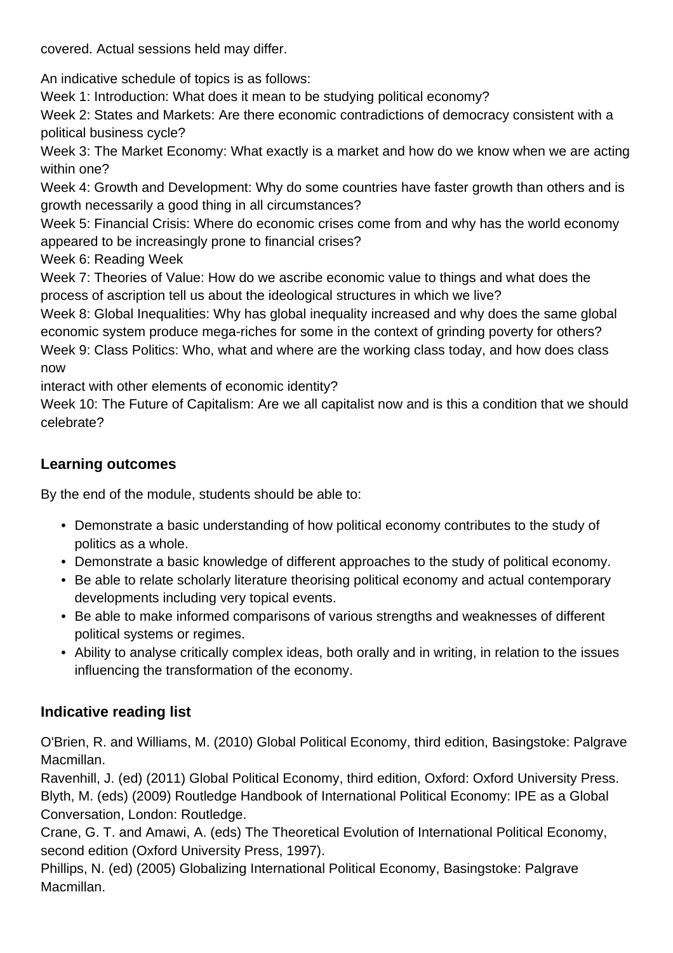covered. Actual sessions held may differ.

An indicative schedule of topics is as follows:

Week 1: Introduction: What does it mean to be studying political economy?

Week 2: States and Markets: Are there economic contradictions of democracy consistent with a political business cycle?

Week 3: The Market Economy: What exactly is a market and how do we know when we are acting within one?

Week 4: Growth and Development: Why do some countries have faster growth than others and is growth necessarily a good thing in all circumstances?

Week 5: Financial Crisis: Where do economic crises come from and why has the world economy appeared to be increasingly prone to financial crises?

Week 6: Reading Week

Week 7: Theories of Value: How do we ascribe economic value to things and what does the process of ascription tell us about the ideological structures in which we live?

Week 8: Global Inequalities: Why has global inequality increased and why does the same global economic system produce mega-riches for some in the context of grinding poverty for others? Week 9: Class Politics: Who, what and where are the working class today, and how does class now

interact with other elements of economic identity?

Week 10: The Future of Capitalism: Are we all capitalist now and is this a condition that we should celebrate?

# **Learning outcomes**

By the end of the module, students should be able to:

- Demonstrate a basic understanding of how political economy contributes to the study of politics as a whole.
- Demonstrate a basic knowledge of different approaches to the study of political economy.
- Be able to relate scholarly literature theorising political economy and actual contemporary developments including very topical events.
- Be able to make informed comparisons of various strengths and weaknesses of different political systems or regimes.
- Ability to analyse critically complex ideas, both orally and in writing, in relation to the issues influencing the transformation of the economy.

## **Indicative reading list**

O'Brien, R. and Williams, M. (2010) Global Political Economy, third edition, Basingstoke: Palgrave Macmillan.

Ravenhill, J. (ed) (2011) Global Political Economy, third edition, Oxford: Oxford University Press. Blyth, M. (eds) (2009) Routledge Handbook of International Political Economy: IPE as a Global Conversation, London: Routledge.

Crane, G. T. and Amawi, A. (eds) The Theoretical Evolution of International Political Economy, second edition (Oxford University Press, 1997).

Phillips, N. (ed) (2005) Globalizing International Political Economy, Basingstoke: Palgrave Macmillan.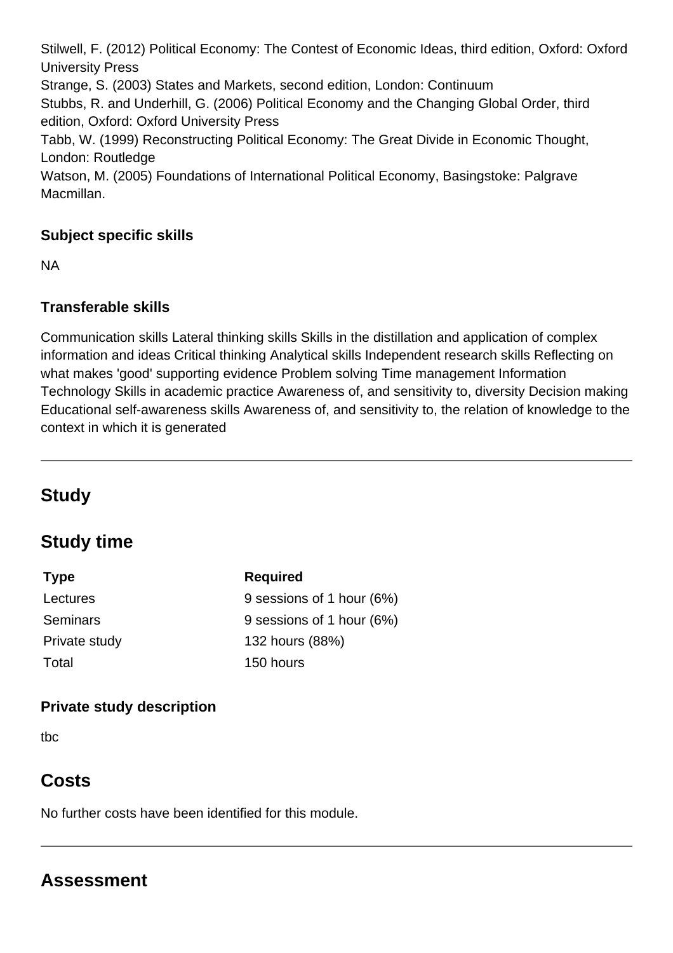Stilwell, F. (2012) Political Economy: The Contest of Economic Ideas, third edition, Oxford: Oxford University Press Strange, S. (2003) States and Markets, second edition, London: Continuum Stubbs, R. and Underhill, G. (2006) Political Economy and the Changing Global Order, third edition, Oxford: Oxford University Press Tabb, W. (1999) Reconstructing Political Economy: The Great Divide in Economic Thought, London: Routledge Watson, M. (2005) Foundations of International Political Economy, Basingstoke: Palgrave Macmillan.

## **Subject specific skills**

NA

#### **Transferable skills**

Communication skills Lateral thinking skills Skills in the distillation and application of complex information and ideas Critical thinking Analytical skills Independent research skills Reflecting on what makes 'good' supporting evidence Problem solving Time management Information Technology Skills in academic practice Awareness of, and sensitivity to, diversity Decision making Educational self-awareness skills Awareness of, and sensitivity to, the relation of knowledge to the context in which it is generated

# **Study**

# **Study time**

| <b>Type</b>     | <b>Required</b>           |
|-----------------|---------------------------|
| Lectures        | 9 sessions of 1 hour (6%) |
| <b>Seminars</b> | 9 sessions of 1 hour (6%) |
| Private study   | 132 hours (88%)           |
| Total           | 150 hours                 |

#### **Private study description**

tbc

# **Costs**

No further costs have been identified for this module.

# **Assessment**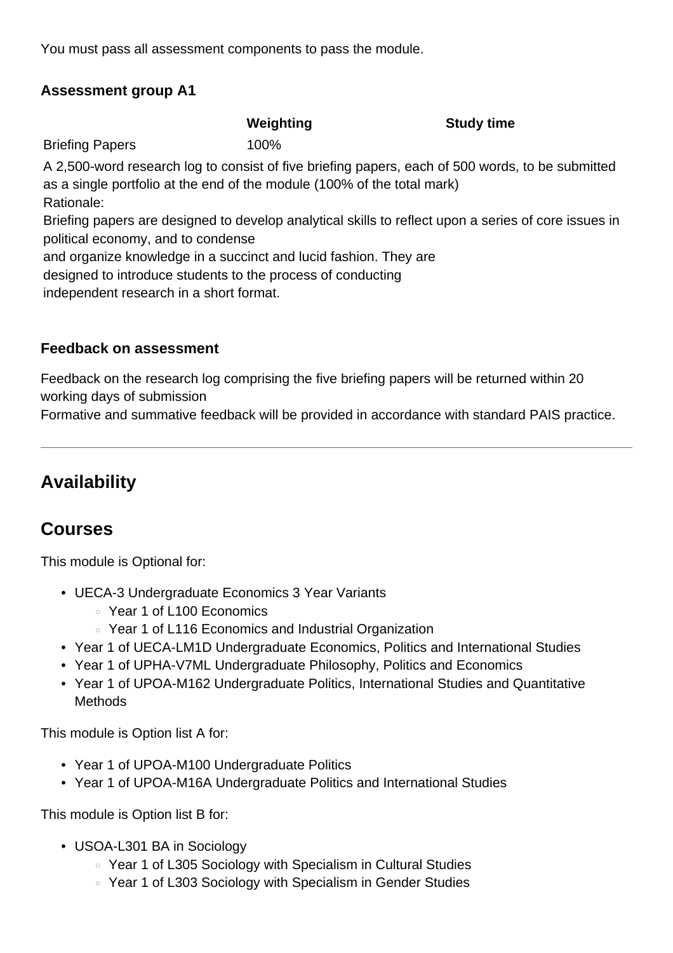You must pass all assessment components to pass the module.

#### **Assessment group A1**

**Weighting Study time**

Briefing Papers 100%

A 2,500-word research log to consist of five briefing papers, each of 500 words, to be submitted as a single portfolio at the end of the module (100% of the total mark) Rationale:

Briefing papers are designed to develop analytical skills to reflect upon a series of core issues in political economy, and to condense

and organize knowledge in a succinct and lucid fashion. They are

designed to introduce students to the process of conducting

independent research in a short format.

#### **Feedback on assessment**

Feedback on the research log comprising the five briefing papers will be returned within 20 working days of submission

Formative and summative feedback will be provided in accordance with standard PAIS practice.

# **Availability**

# **Courses**

This module is Optional for:

- UECA-3 Undergraduate Economics 3 Year Variants
	- Year 1 of L100 Economics
	- Year 1 of L116 Economics and Industrial Organization
- Year 1 of UECA-LM1D Undergraduate Economics, Politics and International Studies
- Year 1 of UPHA-V7ML Undergraduate Philosophy, Politics and Economics
- Year 1 of UPOA-M162 Undergraduate Politics, International Studies and Quantitative **Methods**

This module is Option list A for:

- Year 1 of UPOA-M100 Undergraduate Politics
- Year 1 of UPOA-M16A Undergraduate Politics and International Studies

This module is Option list B for:

- USOA-L301 BA in Sociology •
	- Year 1 of L305 Sociology with Specialism in Cultural Studies
	- Year 1 of L303 Sociology with Specialism in Gender Studies